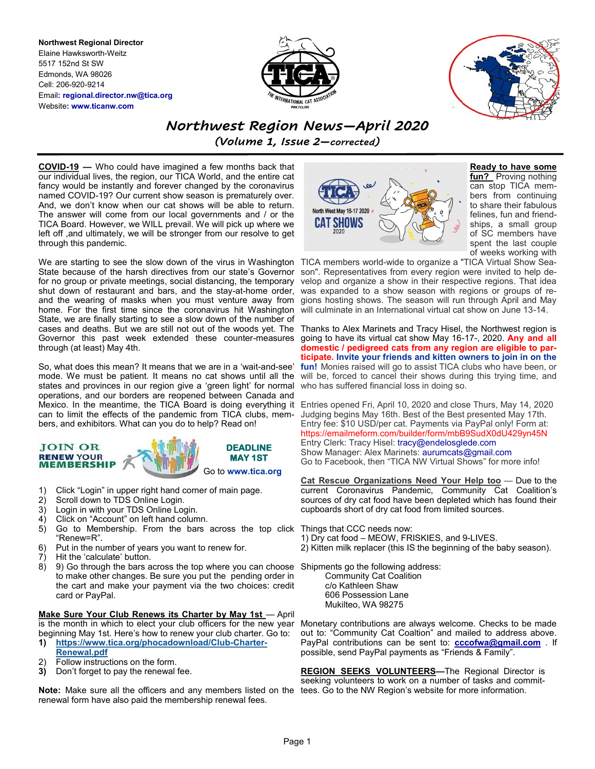**Northwest Regional Director** Elaine Hawksworth-Weitz 5517 152nd St SW Edmonds, WA 98026 Cell: 206-920-9214 Email**: regional.director.nw@tica.org** Website**: www.ticanw.com**





*Northwest Region News—April 2020 (Volume 1, Issue 2—corrected)*

**COVID-19 —** Who could have imagined a few months back that our individual lives, the region, our TICA World, and the entire cat fancy would be instantly and forever changed by the coronavirus named COVID-19? Our current show season is prematurely over. And, we don't know when our cat shows will be able to return. The answer will come from our local governments and / or the TICA Board. However, we WILL prevail. We will pick up where we left off ,and ultimately, we will be stronger from our resolve to get through this pandemic.

We are starting to see the slow down of the virus in Washington TICA members world-wide to organize a "TICA Virtual Show Sea-State because of the harsh directives from our state's Governor for no group or private meetings, social distancing, the temporary shut down of restaurant and bars, and the stay-at-home order, and the wearing of masks when you must venture away from home. For the first time since the coronavirus hit Washington State, we are finally starting to see a slow down of the number of cases and deaths. But we are still not out of the woods yet. The Thanks to Alex Marinets and Tracy Hisel, the Northwest region is Governor this past week extended these counter-measures through (at least) May 4th.

So, what does this mean? It means that we are in a 'wait-and-see' mode. We must be patient. It means no cat shows until all the states and provinces in our region give a 'green light' for normal operations, and our borders are reopened between Canada and Mexico. In the meantime, the TICA Board is doing everything it Entries opened Fri, April 10, 2020 and close Thurs, May 14, 2020 can to limit the effects of the pandemic from TICA clubs, members, and exhibitors. What can you do to help? Read on!



- 1) Click "Login" in upper right hand corner of main page.
- 2) Scroll down to TDS Online Login.
- 3) Login in with your TDS Online Login.
- 4) Click on "Account" on left hand column.<br>5) Go to Membership. From the bars
- 5) Go to Membership. From the bars across the top click Things that CCC needs now: "Renew=R".
- 6) Put in the number of years you want to renew for.
- 7) Hit the 'calculate' button.
- 8) 9) Go through the bars across the top where you can choose Shipments go the following address: to make other changes. Be sure you put the pending order in the cart and make your payment via the two choices: credit card or PayPal.

**Make Sure Your Club Renews its Charter by May 1st** — April is the month in which to elect your club officers for the new year beginning May 1st. Here's how to renew your club charter. Go to:

- **1) [https://www.tica.org/phocadownload/Club](https://www.tica.org/phocadownload/Club-Charter-Renewal.pdf)-Charter-[Renewal.pdf](https://www.tica.org/phocadownload/Club-Charter-Renewal.pdf)**
- 2) Follow instructions on the form.<br>3) Don't forget to pay the renewal
- **3)** Don't forget to pay the renewal fee.

Note: Make sure all the officers and any members listed on the tees. Go to the NW Region's website for more information. renewal form have also paid the membership renewal fees.



**Ready to have some fun?** Proving nothing can stop TICA members from continuing to share their fabulous felines, fun and friendships, a small group of SC members have spent the last couple of weeks working with

son". Representatives from every region were invited to help develop and organize a show in their respective regions. That idea was expanded to a show season with regions or groups of regions hosting shows. The season will run through April and May will culminate in an International virtual cat show on June 13-14.

going to have its virtual cat show May 16-17-, 2020. **Any and all domestic / pedigreed cats from any region are eligible to participate. Invite your friends and kitten owners to join in on the fun!** Monies raised will go to assist TICA clubs who have been, or will be, forced to cancel their shows during this trying time, and who has suffered financial loss in doing so.

Judging begins May 16th. Best of the Best presented May 17th. Entry fee: \$10 USD/per cat. Payments via PayPal only! Form at: https://emailmeform.com/builder/form/mbB9SudX0dU429yn45N Entry Clerk: Tracy Hisel: tracy@endelosglede.com Show Manager: Alex Marinets: aurumcats@gmail.com Go to Facebook, then "TICA NW Virtual Shows" for more info!

**Cat Rescue Organizations Need Your Help too** — Due to the current Coronavirus Pandemic, Community Cat Coalition's sources of dry cat food have been depleted which has found their cupboards short of dry cat food from limited sources.

- 1) Dry cat food MEOW, FRISKIES, and 9-LIVES.
- 2) Kitten milk replacer (this IS the beginning of the baby season).

 Community Cat Coalition c/o Kathleen Shaw 606 Possession Lane Mukilteo, WA 98275

Monetary contributions are always welcome. Checks to be made out to: "Community Cat Coaltion" and mailed to address above. PayPal contributions can be sent to: **[cccofwa@gmail.com](mailto:cccofwa@gmail.com)** . If possible, send PayPal payments as "Friends & Family".

**REGION SEEKS VOLUNTEERS—**The Regional Director is seeking volunteers to work on a number of tasks and commit-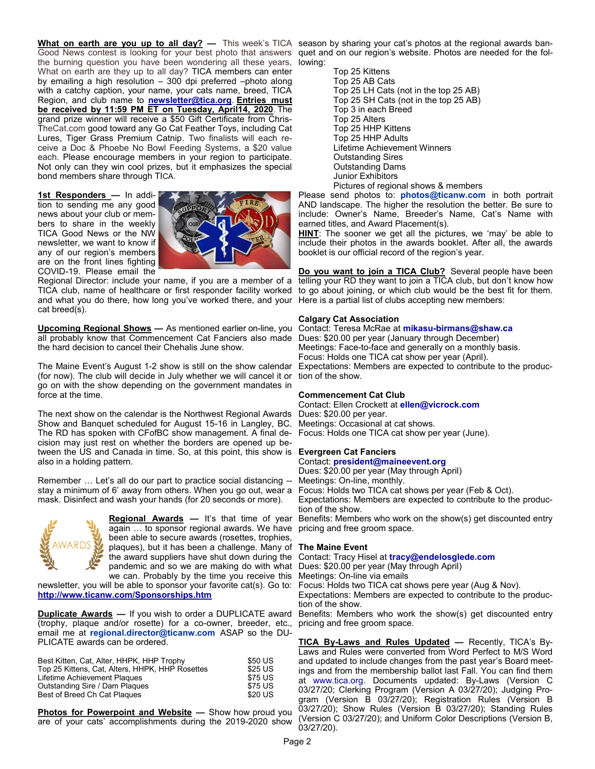**What on earth are you up to all day? —** This week's TICA season by sharing your cat's photos at the regional awards ban-Good News contest is looking for your best photo that answers quet and on our region's website. Photos are needed for the folthe burning question you have been wondering all these years, lowing: What on earth are they up to all day? TICA members can enter by emailing a high resolution – 300 dpi preferred –photo along with a catchy caption, your name, your cats name, breed, TICA Region, and club name to **[newsletter@tica.org](mailto:newsletter@tica.org)**. **Entries must be received by 11:59 PM ET on Tuesday, April14, 2020**. The grand prize winner will receive a \$50 Gift Certificate from Chris-TheCat.com good toward any Go Cat Feather Toys, including Cat Lures, Tiger Grass Premium Catnip. Two finalists will each receive a Doc & Phoebe No Bowl Feeding Systems, a \$20 value each. Please encourage members in your region to participate. Not only can they win cool prizes, but it emphasizes the special bond members share through TICA.

**1st Responders —** In addition to sending me any good news about your club or members to share in the weekly TICA Good News or the NW newsletter, we want to know if any of our region's members are on the front lines fighting COVID-19. Please email the



Regional Director: include your name, if you are a member of a TICA club, name of healthcare or first responder facility worked and what you do there, how long you've worked there, and your Here is a partial list of clubs accepting new members: cat breed(s).

**Upcoming Regional Shows —** As mentioned earlier on-line, you all probably know that Commencement Cat Fanciers also made the hard decision to cancel their Chehalis June show.

The Maine Event's August 1-2 show is still on the show calendar (for now). The club will decide in July whether we will cancel it or tion of the show. go on with the show depending on the government mandates in force at the time.

The next show on the calendar is the Northwest Regional Awards Show and Banquet scheduled for August 15-16 in Langley, BC. The RD has spoken with CFofBC show management. A final decision may just rest on whether the borders are opened up between the US and Canada in time. So, at this point, this show is **Evergreen Cat Fanciers** also in a holding pattern.

Remember … Let's all do our part to practice social distancing - stay a minimum of 6' away from others. When you go out, wear a mask. Disinfect and wash your hands (for 20 seconds or more).



**Regional Awards —** It's that time of year again … to sponsor regional awards. We have pricing and free groom space. been able to secure awards (rosettes, trophies, plaques), but it has been a challenge. Many of the award suppliers have shut down during the pandemic and so we are making do with what we can. Probably by the time you receive this Meetings: On-line via emails

newsletter, you will be able to sponsor your favorite cat(s). Go to: **<http://www.ticanw.com/Sponsorships.htm>**

**Duplicate Awards —** If you wish to order a DUPLICATE award (trophy, plaque and/or rosette) for a co-owner, breeder, etc., email me at **regional.director@ticanw.com** ASAP so the DU-PLICATE awards can be ordered.

| Best Kitten, Cat, Alter, HHPK, HHP Trophy       | \$50 US |
|-------------------------------------------------|---------|
| Top 25 Kittens, Cat, Alters, HHPK, HHP Rosettes | \$25 US |
| Lifetime Achievement Plaques                    | \$75 US |
| Outstanding Sire / Dam Plagues                  | \$75 US |
| Best of Breed Ch Cat Plagues                    | \$20 US |

**Photos for Powerpoint and Website —** Show how proud you are of your cats' accomplishments during the 2019-2020 show

Top 25 Kittens Top 25 AB Cats Top 25 LH Cats (not in the top 25 AB) Top 25 SH Cats (not in the top 25 AB) Top 3 in each Breed Top 25 Alters Top 25 HHP Kittens Top 25 HHP Adults Lifetime Achievement Winners Outstanding Sires Outstanding Dams Junior Exhibitors Pictures of regional shows & members

Please send photos to: **photos@ticanw.com** in both portrait AND landscape. The higher the resolution the better. Be sure to include: Owner's Name, Breeder's Name, Cat's Name with earned titles, and Award Placement(s).

**HINT**: The sooner we get all the pictures, we 'may' be able to include their photos in the awards booklet. After all, the awards booklet is our official record of the region's year.

**Do you want to join a TICA Club?** Several people have been telling your RD they want to join a TICA club, but don't know how to go about joining, or which club would be the best fit for them.

# **Calgary Cat Association**

Contact: Teresa McRae at **mikasu-birmans@shaw.ca** Dues: \$20.00 per year (January through December) Meetings: Face-to-face and generally on a monthly basis. Focus: Holds one TICA cat show per year (April). Expectations: Members are expected to contribute to the produc-

# **Commencement Cat Club**

Contact: Ellen Crockett at **ellen@vicrock.com** Dues: \$20.00 per year. Meetings: Occasional at cat shows. Focus: Holds one TICA cat show per year (June).

Contact: **president@maineevent.org** 

Dues: \$20.00 per year (May through April)

Meetings: On-line, monthly.

Focus: Holds two TICA cat shows per year (Feb & Oct).

Expectations: Members are expected to contribute to the production of the show.

Benefits: Members who work on the show(s) get discounted entry

# **The Maine Event**

Contact: Tracy Hisel at **tracy@endelosglede.com**

Dues: \$20.00 per year (May through April)

Focus: Holds two TICA cat shows pere year (Aug & Nov).

Expectations: Members are expected to contribute to the production of the show.

Benefits: Members who work the show(s) get discounted entry pricing and free groom space.

**TICA By-Laws and Rules Updated —** Recently, TICA's By-Laws and Rules were converted from Word Perfect to M/S Word and updated to include changes from the past year's Board meetings and from the membership ballot last Fall. You can find them at www.tica.org. Documents updated: By-Laws (Version C 03/27/20; Clerking Program (Version A 03/27/20); Judging Program (Version B 03/27/20); Registration Rules (Version B 03/27/20); Show Rules (Version B 03/27/20); Standing Rules (Version C 03/27/20); and Uniform Color Descriptions (Version B, 03/27/20).